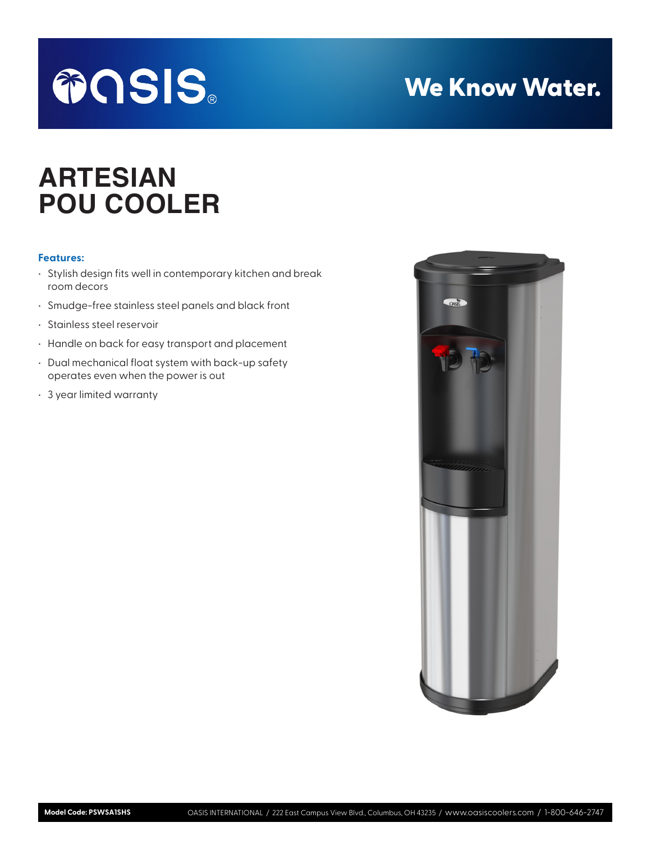

# We Know Water.

# **ARTESIAN POU COOLER**

# **Features:**

- Stylish design fits well in contemporary kitchen and break room decors
- Smudge-free stainless steel panels and black front
- Stainless steel reservoir
- Handle on back for easy transport and placement
- Dual mechanical float system with back-up safety operates even when the power is out
- 3 year limited warranty